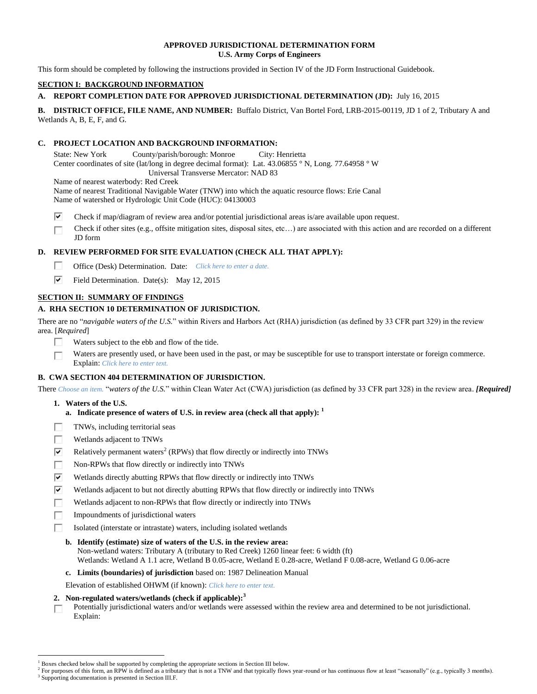## **APPROVED JURISDICTIONAL DETERMINATION FORM U.S. Army Corps of Engineers**

This form should be completed by following the instructions provided in Section IV of the JD Form Instructional Guidebook.

## **SECTION I: BACKGROUND INFORMATION**

# **A. REPORT COMPLETION DATE FOR APPROVED JURISDICTIONAL DETERMINATION (JD):** July 16, 2015

**B. DISTRICT OFFICE, FILE NAME, AND NUMBER:** Buffalo District, Van Bortel Ford, LRB-2015-00119, JD 1 of 2, Tributary A and Wetlands A, B, E, F, and G.

## **C. PROJECT LOCATION AND BACKGROUND INFORMATION:**

State: New York County/parish/borough: Monroe City: Henrietta Center coordinates of site (lat/long in degree decimal format): Lat. 43.06855 ° N, Long. 77.64958 ° W Universal Transverse Mercator: NAD 83

Name of nearest waterbody: Red Creek Name of nearest Traditional Navigable Water (TNW) into which the aquatic resource flows: Erie Canal Name of watershed or Hydrologic Unit Code (HUC): 04130003

- ⊽ Check if map/diagram of review area and/or potential jurisdictional areas is/are available upon request.
- Check if other sites (e.g., offsite mitigation sites, disposal sites, etc…) are associated with this action and are recorded on a different П JD form

# **D. REVIEW PERFORMED FOR SITE EVALUATION (CHECK ALL THAT APPLY):**

- П. Office (Desk) Determination. Date: *Click here to enter a date.*
- ⊽ Field Determination. Date(s): May 12, 2015

# **SECTION II: SUMMARY OF FINDINGS**

# **A. RHA SECTION 10 DETERMINATION OF JURISDICTION.**

There are no "*navigable waters of the U.S.*" within Rivers and Harbors Act (RHA) jurisdiction (as defined by 33 CFR part 329) in the review area. [*Required*]

- П Waters subject to the ebb and flow of the tide.
- Waters are presently used, or have been used in the past, or may be susceptible for use to transport interstate or foreign commerce. П Explain: *Click here to enter text.*

## **B. CWA SECTION 404 DETERMINATION OF JURISDICTION.**

There *Choose an item.* "*waters of the U.S.*" within Clean Water Act (CWA) jurisdiction (as defined by 33 CFR part 328) in the review area. *[Required]*

**1. Waters of the U.S.**

 $\overline{a}$ 

- **a. Indicate presence of waters of U.S. in review area (check all that apply): 1**
- TNWs, including territorial seas г
- П Wetlands adjacent to TNWs
- Relatively permanent waters<sup>2</sup> (RPWs) that flow directly or indirectly into TNWs ⊽
- п Non-RPWs that flow directly or indirectly into TNWs
- $\overline{\mathbf{v}}$ Wetlands directly abutting RPWs that flow directly or indirectly into TNWs
- Wetlands adjacent to but not directly abutting RPWs that flow directly or indirectly into TNWs ☑
- П Wetlands adjacent to non-RPWs that flow directly or indirectly into TNWs
- п Impoundments of jurisdictional waters
	- Isolated (interstate or intrastate) waters, including isolated wetlands
	- **b. Identify (estimate) size of waters of the U.S. in the review area:**

Non-wetland waters: Tributary A (tributary to Red Creek) 1260 linear feet: 6 width (ft) Wetlands: Wetland A 1.1 acre, Wetland B 0.05-acre, Wetland E 0.28-acre, Wetland F 0.08-acre, Wetland G 0.06-acre

**c. Limits (boundaries) of jurisdiction** based on: 1987 Delineation Manual

Elevation of established OHWM (if known): *Click here to enter text.*

# **2. Non-regulated waters/wetlands (check if applicable): 3**

Potentially jurisdictional waters and/or wetlands were assessed within the review area and determined to be not jurisdictional. П. Explain:

Boxes checked below shall be supported by completing the appropriate sections in Section III below.

<sup>2</sup> For purposes of this form, an RPW is defined as a tributary that is not a TNW and that typically flows year-round or has continuous flow at least "seasonally" (e.g., typically 3 months). <sup>3</sup> Supporting documentation is presented in Section III.F.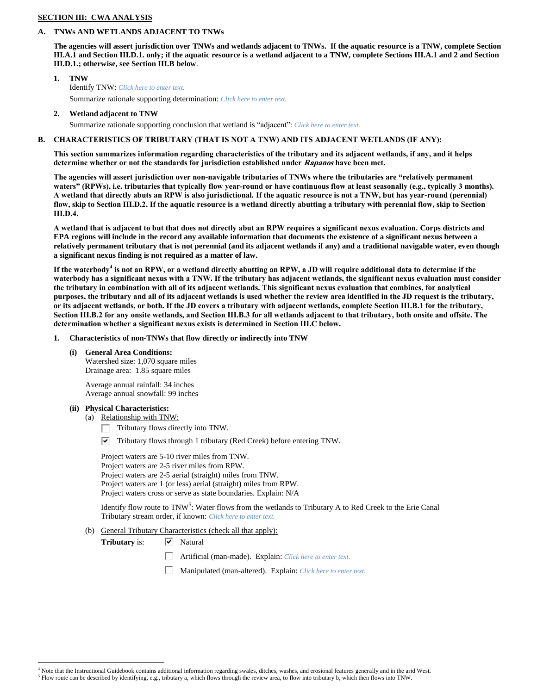## **SECTION III: CWA ANALYSIS**

### **A. TNWs AND WETLANDS ADJACENT TO TNWs**

**The agencies will assert jurisdiction over TNWs and wetlands adjacent to TNWs. If the aquatic resource is a TNW, complete Section III.A.1 and Section III.D.1. only; if the aquatic resource is a wetland adjacent to a TNW, complete Sections III.A.1 and 2 and Section III.D.1.; otherwise, see Section III.B below**.

- **1. TNW**  Identify TNW: *Click here to enter text.* Summarize rationale supporting determination: *Click here to enter text.*
- **2. Wetland adjacent to TNW**

Summarize rationale supporting conclusion that wetland is "adjacent": *Click here to enter text.*

# **B. CHARACTERISTICS OF TRIBUTARY (THAT IS NOT A TNW) AND ITS ADJACENT WETLANDS (IF ANY):**

**This section summarizes information regarding characteristics of the tributary and its adjacent wetlands, if any, and it helps determine whether or not the standards for jurisdiction established under Rapanos have been met.** 

**The agencies will assert jurisdiction over non-navigable tributaries of TNWs where the tributaries are "relatively permanent waters" (RPWs), i.e. tributaries that typically flow year-round or have continuous flow at least seasonally (e.g., typically 3 months). A wetland that directly abuts an RPW is also jurisdictional. If the aquatic resource is not a TNW, but has year-round (perennial) flow, skip to Section III.D.2. If the aquatic resource is a wetland directly abutting a tributary with perennial flow, skip to Section III.D.4.**

**A wetland that is adjacent to but that does not directly abut an RPW requires a significant nexus evaluation. Corps districts and EPA regions will include in the record any available information that documents the existence of a significant nexus between a relatively permanent tributary that is not perennial (and its adjacent wetlands if any) and a traditional navigable water, even though a significant nexus finding is not required as a matter of law.**

**If the waterbody<sup>4</sup> is not an RPW, or a wetland directly abutting an RPW, a JD will require additional data to determine if the waterbody has a significant nexus with a TNW. If the tributary has adjacent wetlands, the significant nexus evaluation must consider the tributary in combination with all of its adjacent wetlands. This significant nexus evaluation that combines, for analytical purposes, the tributary and all of its adjacent wetlands is used whether the review area identified in the JD request is the tributary, or its adjacent wetlands, or both. If the JD covers a tributary with adjacent wetlands, complete Section III.B.1 for the tributary, Section III.B.2 for any onsite wetlands, and Section III.B.3 for all wetlands adjacent to that tributary, both onsite and offsite. The determination whether a significant nexus exists is determined in Section III.C below.**

- **1. Characteristics of non-TNWs that flow directly or indirectly into TNW**
	- **(i) General Area Conditions:**

Watershed size: 1,070 square miles Drainage area: 1.85 square miles

Average annual rainfall: 34 inches Average annual snowfall: 99 inches

#### **(ii) Physical Characteristics:**

 $\overline{a}$ 

(a) Relationship with TNW:

Tributary flows directly into TNW.

 $\triangledown$  Tributary flows through 1 tributary (Red Creek) before entering TNW.

Project waters are 5-10 river miles from TNW. Project waters are 2-5 river miles from RPW. Project waters are 2-5 aerial (straight) miles from TNW. Project waters are 1 (or less) aerial (straight) miles from RPW. Project waters cross or serve as state boundaries. Explain: N/A

Identify flow route to TNW<sup>5</sup>: Water flows from the wetlands to Tributary A to Red Creek to the Erie Canal Tributary stream order, if known: *Click here to enter text.*

(b) General Tributary Characteristics (check all that apply):

Tributary is:  $\boxed{\vee}$  Natural

- П. Artificial (man-made). Explain: *Click here to enter text.*
- Manipulated (man-altered). Explain: *Click here to enter text.*

<sup>&</sup>lt;sup>4</sup> Note that the Instructional Guidebook contains additional information regarding swales, ditches, washes, and erosional features generally and in the arid West.

 $^5$  Flow route can be described by identifying, e.g., tributary a, which flows through the review area, to flow into tributary b, which then flows into TNW.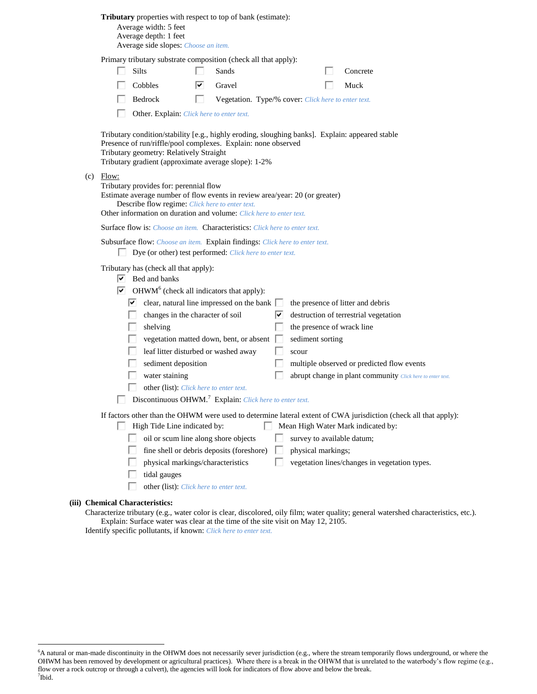|  |  |  | Tributary properties with respect to top of bank (estimate): |  |
|--|--|--|--------------------------------------------------------------|--|
|--|--|--|--------------------------------------------------------------|--|

Average width: 5 feet Average depth: 1 feet Average side slopes: *Choose an item.*

Primary tributary substrate composition (check all that apply):

| $\Box$ Silts   | $\Box$ Sands                                               | $\Box$ Concrete |
|----------------|------------------------------------------------------------|-----------------|
| $\Box$ Cobbles | $\overline{\triangledown}$ Gravel                          | $\Box$ Muck     |
| $\Box$ Bedrock | <b>Negetation.</b> Type/% cover: Click here to enter text. |                 |

Other. Explain: *Click here to enter text.*

Tributary condition/stability [e.g., highly eroding, sloughing banks]. Explain: appeared stable Presence of run/riffle/pool complexes. Explain: none observed Tributary geometry: Relatively Straight Tributary gradient (approximate average slope): 1-2%

(c) Flow:

Tributary provides for: perennial flow Estimate average number of flow events in review area/year: 20 (or greater) Describe flow regime: *Click here to enter text.*

Other information on duration and volume: *Click here to enter text.*

Surface flow is: *Choose an item.* Characteristics: *Click here to enter text.*

Subsurface flow: *Choose an item.* Explain findings: *Click here to enter text.*

Dye (or other) test performed: *Click here to enter text.*

Tributary has (check all that apply):

 $\boxed{\triangledown}$  Bed and banks

 $OHWM<sup>6</sup>$  (check all indicators that apply):

| ↜ | clear, natural line impressed on the bank                           |   | the presence of litter and debris                          |
|---|---------------------------------------------------------------------|---|------------------------------------------------------------|
|   | changes in the character of soil                                    | է | destruction of terrestrial vegetation                      |
|   | shelving                                                            |   | the presence of wrack line                                 |
|   | vegetation matted down, bent, or absent                             |   | sediment sorting                                           |
|   | leaf litter disturbed or washed away                                |   | scour                                                      |
|   | sediment deposition                                                 |   | multiple observed or predicted flow events                 |
|   | water staining                                                      |   | abrupt change in plant community Click here to enter text. |
|   | other (list). Click here to enter text.                             |   |                                                            |
|   | Discontinuous OHWM. <sup>7</sup> Explain: Click here to enter text. |   |                                                            |

If factors other than the OHWM were used to determine lateral extent of CWA jurisdiction (check all that apply):

| High Tide Line indicated by:                     | Mean High Water Mark indicated by:            |
|--------------------------------------------------|-----------------------------------------------|
| oil or scum line along shore objects             | survey to available datum;                    |
| fine shell or debris deposits (foreshore) $\Box$ | physical markings;                            |
| physical markings/characteristics                | vegetation lines/changes in vegetation types. |
| tidal gauges                                     |                                               |
| other (list): Click here to enter text.          |                                               |

#### **(iii) Chemical Characteristics:**

 $\overline{a}$ 

Characterize tributary (e.g., water color is clear, discolored, oily film; water quality; general watershed characteristics, etc.). Explain: Surface water was clear at the time of the site visit on May 12, 2105. Identify specific pollutants, if known: *Click here to enter text.*

<sup>&</sup>lt;sup>6</sup>A natural or man-made discontinuity in the OHWM does not necessarily sever jurisdiction (e.g., where the stream temporarily flows underground, or where the OHWM has been removed by development or agricultural practices). Where there is a break in the OHWM that is unrelated to the waterbody's flow regime (e.g., flow over a rock outcrop or through a culvert), the agencies will look for indicators of flow above and below the break. 7 Ibid.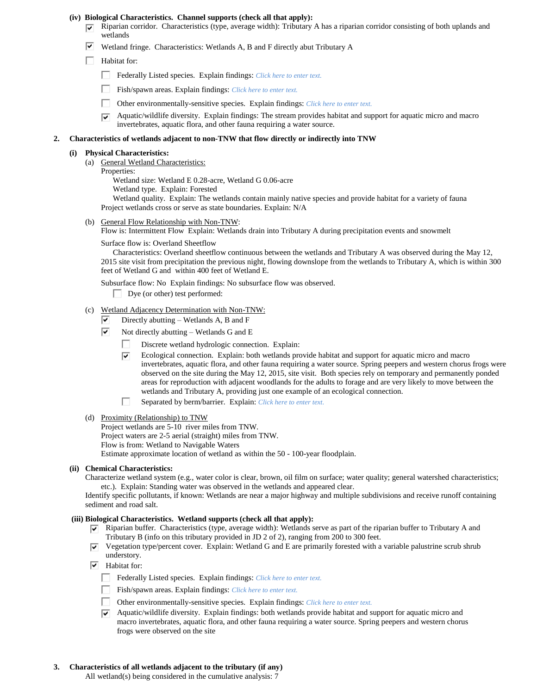#### **(iv) Biological Characteristics. Channel supports (check all that apply):**

- $\nabla$  Riparian corridor. Characteristics (type, average width): Tributary A has a riparian corridor consisting of both uplands and wetlands
	- ☞ Wetland fringe. Characteristics: Wetlands A, B and F directly abut Tributary A
	- $\Box$  Habitat for:
		- $\Box$ Federally Listed species. Explain findings: *Click here to enter text.*
		- Fish/spawn areas. Explain findings: *Click here to enter text.* П
		- п Other environmentally-sensitive species. Explain findings: *Click here to enter text.*
		- Aquatic/wildlife diversity. Explain findings: The stream provides habitat and support for aquatic micro and macro ⊽ invertebrates, aquatic flora, and other fauna requiring a water source.

#### **2. Characteristics of wetlands adjacent to non-TNW that flow directly or indirectly into TNW**

### **(i) Physical Characteristics:**

- (a) General Wetland Characteristics:
	- Properties:

Wetland size: Wetland E 0.28-acre, Wetland G 0.06-acre

Wetland type. Explain: Forested

Wetland quality. Explain: The wetlands contain mainly native species and provide habitat for a variety of fauna Project wetlands cross or serve as state boundaries. Explain: N/A

(b) General Flow Relationship with Non-TNW:

Flow is: Intermittent Flow Explain: Wetlands drain into Tributary A during precipitation events and snowmelt

Surface flow is: Overland Sheetflow

Characteristics: Overland sheetflow continuous between the wetlands and Tributary A was observed during the May 12, 2015 site visit from precipitation the previous night, flowing downslope from the wetlands to Tributary A, which is within 300 feet of Wetland G and within 400 feet of Wetland E.

Subsurface flow: No Explain findings: No subsurface flow was observed.

- $\Box$  Dye (or other) test performed:
- (c) Wetland Adjacency Determination with Non-TNW:
	- ⊽ Directly abutting – Wetlands A, B and F
	- ⊽ Not directly abutting – Wetlands G and E
		- Discrete wetland hydrologic connection. Explain:
		- ⊽⊟ Ecological connection. Explain: both wetlands provide habitat and support for aquatic micro and macro invertebrates, aquatic flora, and other fauna requiring a water source. Spring peepers and western chorus frogs were observed on the site during the May 12, 2015, site visit. Both species rely on temporary and permanently ponded areas for reproduction with adjacent woodlands for the adults to forage and are very likely to move between the wetlands and Tributary A, providing just one example of an ecological connection.
		- П. Separated by berm/barrier. Explain: *Click here to enter text.*
- (d) Proximity (Relationship) to TNW

Project wetlands are 5-10 river miles from TNW. Project waters are 2-5 aerial (straight) miles from TNW. Flow is from: Wetland to Navigable Waters Estimate approximate location of wetland as within the 50 - 100-year floodplain.

#### **(ii) Chemical Characteristics:**

Characterize wetland system (e.g., water color is clear, brown, oil film on surface; water quality; general watershed characteristics; etc.). Explain: Standing water was observed in the wetlands and appeared clear.

Identify specific pollutants, if known: Wetlands are near a major highway and multiple subdivisions and receive runoff containing sediment and road salt.

### **(iii) Biological Characteristics. Wetland supports (check all that apply):**

- Riparian buffer. Characteristics (type, average width): Wetlands serve as part of the riparian buffer to Tributary A and ☞ Tributary B (info on this tributary provided in JD 2 of 2), ranging from 200 to 300 feet.
- $\overline{v}$  Vegetation type/percent cover. Explain: Wetland G and E are primarily forested with a variable palustrine scrub shrub understory.
- $\boxed{\triangledown}$  Habitat for:
	- Federally Listed species. Explain findings: *Click here to enter text*.
	- Fish/spawn areas. Explain findings: *Click here to enter text*.
	- Other environmentally-sensitive species. Explain findings: *Click here to enter text.*
	- $\overline{\triangledown}$  Aquatic/wildlife diversity. Explain findings: both wetlands provide habitat and support for aquatic micro and macro invertebrates, aquatic flora, and other fauna requiring a water source. Spring peepers and western chorus frogs were observed on the site

# **3. Characteristics of all wetlands adjacent to the tributary (if any)**

All wetland(s) being considered in the cumulative analysis: 7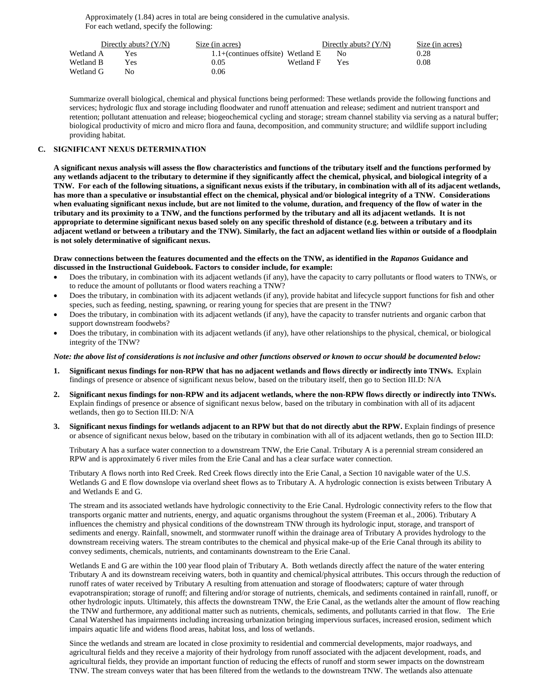Approximately (1.84) acres in total are being considered in the cumulative analysis. For each wetland, specify the following:

|           | Directly abuts? $(Y/N)$ | Size (in acres)                       |           | Directly abuts? $(Y/N)$ | Size (in acres) |
|-----------|-------------------------|---------------------------------------|-----------|-------------------------|-----------------|
| Wetland A | Yes                     | $1.1 +$ (continues offsite) Wetland E |           | No.                     | 0.28            |
| Wetland B | Yes                     | 0.05                                  | Wetland F | Yes                     | 0.08            |
| Wetland G | No.                     | 0.06                                  |           |                         |                 |

Summarize overall biological, chemical and physical functions being performed: These wetlands provide the following functions and services; hydrologic flux and storage including floodwater and runoff attenuation and release; sediment and nutrient transport and retention; pollutant attenuation and release; biogeochemical cycling and storage; stream channel stability via serving as a natural buffer; biological productivity of micro and micro flora and fauna, decomposition, and community structure; and wildlife support including providing habitat.

### **C. SIGNIFICANT NEXUS DETERMINATION**

**A significant nexus analysis will assess the flow characteristics and functions of the tributary itself and the functions performed by any wetlands adjacent to the tributary to determine if they significantly affect the chemical, physical, and biological integrity of a TNW. For each of the following situations, a significant nexus exists if the tributary, in combination with all of its adjacent wetlands, has more than a speculative or insubstantial effect on the chemical, physical and/or biological integrity of a TNW. Considerations when evaluating significant nexus include, but are not limited to the volume, duration, and frequency of the flow of water in the tributary and its proximity to a TNW, and the functions performed by the tributary and all its adjacent wetlands. It is not appropriate to determine significant nexus based solely on any specific threshold of distance (e.g. between a tributary and its adjacent wetland or between a tributary and the TNW). Similarly, the fact an adjacent wetland lies within or outside of a floodplain is not solely determinative of significant nexus.** 

### **Draw connections between the features documented and the effects on the TNW, as identified in the** *Rapanos* **Guidance and discussed in the Instructional Guidebook. Factors to consider include, for example:**

- Does the tributary, in combination with its adjacent wetlands (if any), have the capacity to carry pollutants or flood waters to TNWs, or to reduce the amount of pollutants or flood waters reaching a TNW?
- Does the tributary, in combination with its adjacent wetlands (if any), provide habitat and lifecycle support functions for fish and other species, such as feeding, nesting, spawning, or rearing young for species that are present in the TNW?
- Does the tributary, in combination with its adjacent wetlands (if any), have the capacity to transfer nutrients and organic carbon that support downstream foodwebs?
- Does the tributary, in combination with its adjacent wetlands (if any), have other relationships to the physical, chemical, or biological integrity of the TNW?

### *Note: the above list of considerations is not inclusive and other functions observed or known to occur should be documented below:*

- **1. Significant nexus findings for non-RPW that has no adjacent wetlands and flows directly or indirectly into TNWs.** Explain findings of presence or absence of significant nexus below, based on the tributary itself, then go to Section III.D: N/A
- **2. Significant nexus findings for non-RPW and its adjacent wetlands, where the non-RPW flows directly or indirectly into TNWs.**  Explain findings of presence or absence of significant nexus below, based on the tributary in combination with all of its adjacent wetlands, then go to Section III.D: N/A
- **3. Significant nexus findings for wetlands adjacent to an RPW but that do not directly abut the RPW.** Explain findings of presence or absence of significant nexus below, based on the tributary in combination with all of its adjacent wetlands, then go to Section III.D:

Tributary A has a surface water connection to a downstream TNW, the Erie Canal. Tributary A is a perennial stream considered an RPW and is approximately 6 river miles from the Erie Canal and has a clear surface water connection.

Tributary A flows north into Red Creek. Red Creek flows directly into the Erie Canal, a Section 10 navigable water of the U.S. Wetlands G and E flow downslope via overland sheet flows as to Tributary A. A hydrologic connection is exists between Tributary A and Wetlands E and G.

The stream and its associated wetlands have hydrologic connectivity to the Erie Canal. Hydrologic connectivity refers to the flow that transports organic matter and nutrients, energy, and aquatic organisms throughout the system (Freeman et al., 2006). Tributary A influences the chemistry and physical conditions of the downstream TNW through its hydrologic input, storage, and transport of sediments and energy. Rainfall, snowmelt, and stormwater runoff within the drainage area of Tributary A provides hydrology to the downstream receiving waters. The stream contributes to the chemical and physical make-up of the Erie Canal through its ability to convey sediments, chemicals, nutrients, and contaminants downstream to the Erie Canal.

Wetlands E and G are within the 100 year flood plain of Tributary A. Both wetlands directly affect the nature of the water entering Tributary A and its downstream receiving waters, both in quantity and chemical/physical attributes. This occurs through the reduction of runoff rates of water received by Tributary A resulting from attenuation and storage of floodwaters; capture of water through evapotranspiration; storage of runoff; and filtering and/or storage of nutrients, chemicals, and sediments contained in rainfall, runoff, or other hydrologic inputs. Ultimately, this affects the downstream TNW, the Erie Canal, as the wetlands alter the amount of flow reaching the TNW and furthermore, any additional matter such as nutrients, chemicals, sediments, and pollutants carried in that flow. The Erie Canal Watershed has impairments including increasing urbanization bringing impervious surfaces, increased erosion, sediment which impairs aquatic life and widens flood areas, habitat loss, and loss of wetlands.

Since the wetlands and stream are located in close proximity to residential and commercial developments, major roadways, and agricultural fields and they receive a majority of their hydrology from runoff associated with the adjacent development, roads, and agricultural fields, they provide an important function of reducing the effects of runoff and storm sewer impacts on the downstream TNW. The stream conveys water that has been filtered from the wetlands to the downstream TNW. The wetlands also attenuate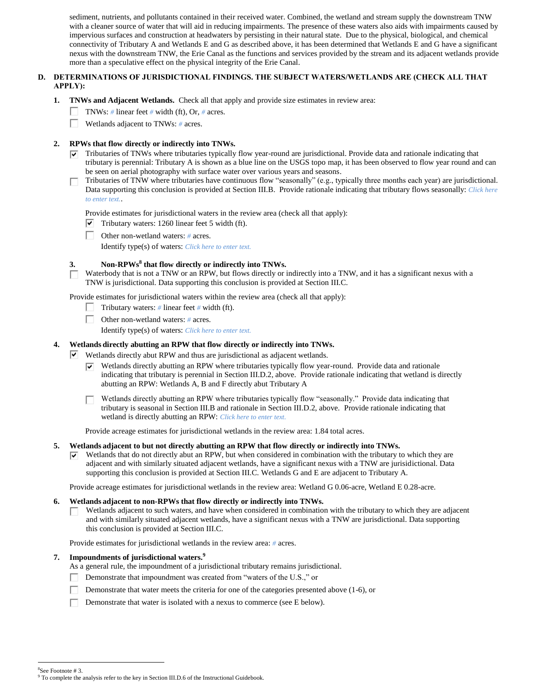sediment, nutrients, and pollutants contained in their received water. Combined, the wetland and stream supply the downstream TNW with a cleaner source of water that will aid in reducing impairments. The presence of these waters also aids with impairments caused by impervious surfaces and construction at headwaters by persisting in their natural state. Due to the physical, biological, and chemical connectivity of Tributary A and Wetlands E and G as described above, it has been determined that Wetlands E and G have a significant nexus with the downstream TNW, the Erie Canal as the functions and services provided by the stream and its adjacent wetlands provide more than a speculative effect on the physical integrity of the Erie Canal.

# **D. DETERMINATIONS OF JURISDICTIONAL FINDINGS. THE SUBJECT WATERS/WETLANDS ARE (CHECK ALL THAT APPLY):**

- **1. TNWs and Adjacent Wetlands.** Check all that apply and provide size estimates in review area:
	- TNWs: *#* linear feet *#* width (ft), Or, *#* acres.  $\mathbf{L}$
	- П. Wetlands adjacent to TNWs: *#* acres.

## **2. RPWs that flow directly or indirectly into TNWs.**

- $\triangledown$  Tributaries of TNWs where tributaries typically flow year-round are jurisdictional. Provide data and rationale indicating that tributary is perennial: Tributary A is shown as a blue line on the USGS topo map, it has been observed to flow year round and can be seen on aerial photography with surface water over various years and seasons.
- Tributaries of TNW where tributaries have continuous flow "seasonally" (e.g., typically three months each year) are jurisdictional. П. Data supporting this conclusion is provided at Section III.B. Provide rationale indicating that tributary flows seasonally: *Click here to enter text.*.

Provide estimates for jurisdictional waters in the review area (check all that apply):

- $\triangledown$  Tributary waters: 1260 linear feet 5 width (ft).
- Other non-wetland waters: *#* acres.

Identify type(s) of waters: *Click here to enter text.*

## **3. Non-RPWs<sup>8</sup> that flow directly or indirectly into TNWs.**

Waterbody that is not a TNW or an RPW, but flows directly or indirectly into a TNW, and it has a significant nexus with a TNW is jurisdictional. Data supporting this conclusion is provided at Section III.C.

Provide estimates for jurisdictional waters within the review area (check all that apply):

- Tributary waters: *#* linear feet *#* width (ft).
- П. Other non-wetland waters: *#* acres.
	- Identify type(s) of waters: *Click here to enter text.*

#### **4. Wetlands directly abutting an RPW that flow directly or indirectly into TNWs.**

- $\triangledown$  Wetlands directly abut RPW and thus are jurisdictional as adjacent wetlands.
	- Wetlands directly abutting an RPW where tributaries typically flow year-round. Provide data and rationale ☞ indicating that tributary is perennial in Section III.D.2, above. Provide rationale indicating that wetland is directly abutting an RPW: Wetlands A, B and F directly abut Tributary A

Wetlands directly abutting an RPW where tributaries typically flow "seasonally." Provide data indicating that tributary is seasonal in Section III.B and rationale in Section III.D.2, above. Provide rationale indicating that wetland is directly abutting an RPW: *Click here to enter text.*

Provide acreage estimates for jurisdictional wetlands in the review area: 1.84 total acres.

#### **5. Wetlands adjacent to but not directly abutting an RPW that flow directly or indirectly into TNWs.**

Wetlands that do not directly abut an RPW, but when considered in combination with the tributary to which they are ☞ adjacent and with similarly situated adjacent wetlands, have a significant nexus with a TNW are jurisidictional. Data supporting this conclusion is provided at Section III.C. Wetlands G and E are adjacent to Tributary A.

Provide acreage estimates for jurisdictional wetlands in the review area: Wetland G 0.06-acre, Wetland E 0.28-acre.

#### **6. Wetlands adjacent to non-RPWs that flow directly or indirectly into TNWs.**

Wetlands adjacent to such waters, and have when considered in combination with the tributary to which they are adjacent П and with similarly situated adjacent wetlands, have a significant nexus with a TNW are jurisdictional. Data supporting this conclusion is provided at Section III.C.

Provide estimates for jurisdictional wetlands in the review area: *#* acres.

## **7. Impoundments of jurisdictional waters. 9**

As a general rule, the impoundment of a jurisdictional tributary remains jurisdictional.

- Demonstrate that impoundment was created from "waters of the U.S.," or
- П. Demonstrate that water meets the criteria for one of the categories presented above (1-6), or
- Г. Demonstrate that water is isolated with a nexus to commerce (see E below).

8 See Footnote # 3.

<sup>&</sup>lt;sup>9</sup> To complete the analysis refer to the key in Section III.D.6 of the Instructional Guidebook.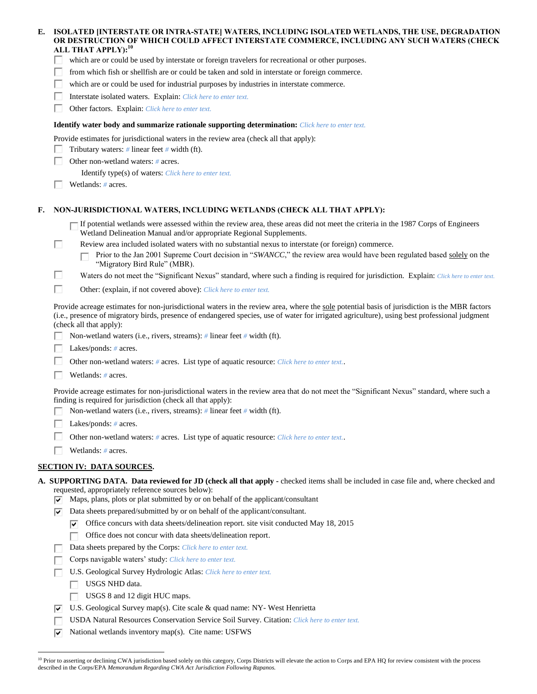| E.    ISOLATED [INTERSTATE OR INTRA-STATE] WATERS, INCLUDING ISOLATED WETLANDS, THE USE, DEGRADATION |
|------------------------------------------------------------------------------------------------------|
| OR DESTRUCTION OF WHICH COULD AFFECT INTERSTATE COMMERCE. INCLUDING ANY SUCH WATERS (CHECK           |
| ALL THAT APPLY): <sup>10</sup>                                                                       |
|                                                                                                      |

- which are or could be used by interstate or foreign travelers for recreational or other purposes.
- from which fish or shellfish are or could be taken and sold in interstate or foreign commerce.
- г. which are or could be used for industrial purposes by industries in interstate commerce.
- П. Interstate isolated waters.Explain: *Click here to enter text.*
- г Other factors.Explain: *Click here to enter text.*

### **Identify water body and summarize rationale supporting determination:** *Click here to enter text.*

Provide estimates for jurisdictional waters in the review area (check all that apply):

- Tributary waters: *#* linear feet *#* width (ft). L
- П. Other non-wetland waters: *#* acres.
	- Identify type(s) of waters: *Click here to enter text.*
- Wetlands: *#* acres.

П

## **F. NON-JURISDICTIONAL WATERS, INCLUDING WETLANDS (CHECK ALL THAT APPLY):**

If potential wetlands were assessed within the review area, these areas did not meet the criteria in the 1987 Corps of Engineers Wetland Delineation Manual and/or appropriate Regional Supplements.

- Review area included isolated waters with no substantial nexus to interstate (or foreign) commerce.
	- Prior to the Jan 2001 Supreme Court decision in "*SWANCC*," the review area would have been regulated based solely on the П "Migratory Bird Rule" (MBR).
- П Waters do not meet the "Significant Nexus" standard, where such a finding is required for jurisdiction. Explain: *Click here to enter text.*
- П Other: (explain, if not covered above): *Click here to enter text.*

Provide acreage estimates for non-jurisdictional waters in the review area, where the sole potential basis of jurisdiction is the MBR factors (i.e., presence of migratory birds, presence of endangered species, use of water for irrigated agriculture), using best professional judgment (check all that apply):

- Non-wetland waters (i.e., rivers, streams): *#* linear feet *#* width (ft).
- Lakes/ponds: *#* acres.
- Other non-wetland waters: *#* acres. List type of aquatic resource: *Click here to enter text.*.
- Wetlands: *#* acres.

Provide acreage estimates for non-jurisdictional waters in the review area that do not meet the "Significant Nexus" standard, where such a finding is required for jurisdiction (check all that apply):

- Non-wetland waters (i.e., rivers, streams): *#* linear feet *#* width (ft).
- Lakes/ponds: *#* acres.
- Е Other non-wetland waters: *#* acres. List type of aquatic resource: *Click here to enter text.*.
- Wetlands: *#* acres.

### **SECTION IV: DATA SOURCES.**

- **A. SUPPORTING DATA. Data reviewed for JD (check all that apply -** checked items shall be included in case file and, where checked and
	- requested, appropriately reference sources below):
	- $\overline{v}$  Maps, plans, plots or plat submitted by or on behalf of the applicant/consultant
	- $\nabla$  Data sheets prepared/submitted by or on behalf of the applicant/consultant.
		- $\triangledown$  Office concurs with data sheets/delineation report. site visit conducted May 18, 2015
		- Office does not concur with data sheets/delineation report.
		- Data sheets prepared by the Corps: *Click here to enter text.*
	- Corps navigable waters' study: *Click here to enter text.*
	- п U.S. Geological Survey Hydrologic Atlas: *Click here to enter text.*
		- USGS NHD data. П.

- USGS 8 and 12 digit HUC maps.
- $\overline{v}$  U.S. Geological Survey map(s). Cite scale & quad name: NY-West Henrietta
- USDA Natural Resources Conservation Service Soil Survey. Citation: *Click here to enter text.* п
- $\triangledown$  National wetlands inventory map(s). Cite name: USFWS

<sup>&</sup>lt;sup>10</sup> Prior to asserting or declining CWA jurisdiction based solely on this category, Corps Districts will elevate the action to Corps and EPA HQ for review consistent with the process described in the Corps/EPA *Memorandum Regarding CWA Act Jurisdiction Following Rapanos.*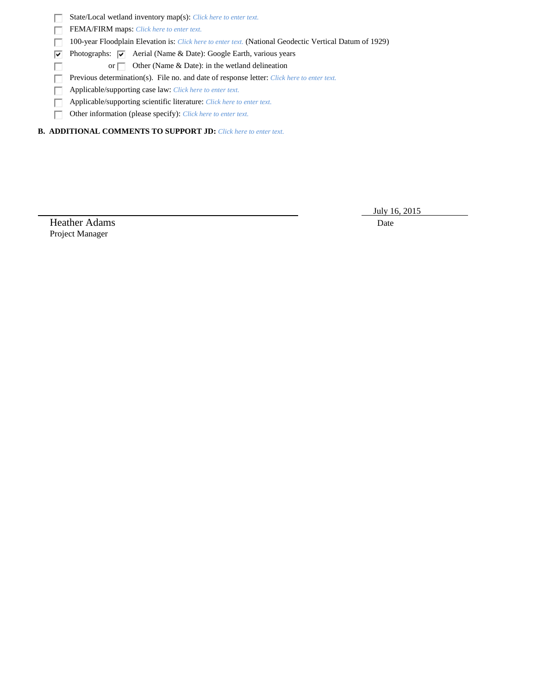|  | <b>State/Local wetland inventory map(s):</b> Click here to enter text. |  |  |  |  |  |  |  |
|--|------------------------------------------------------------------------|--|--|--|--|--|--|--|
|--|------------------------------------------------------------------------|--|--|--|--|--|--|--|

FEMA/FIRM maps: *Click here to enter text.* П

П 100-year Floodplain Elevation is: *Click here to enter text.* (National Geodectic Vertical Datum of 1929)

 $\overline{\mathbf{v}}$ Photographs:  $\overline{\triangledown}$  Aerial (Name & Date): Google Earth, various years

or  $\Box$  Other (Name & Date): in the wetland delineation

Previous determination(s). File no. and date of response letter: *Click here to enter text.* 

Applicable/supporting case law: *Click here to enter text.*

Applicable/supporting scientific literature: *Click here to enter text.*  $\Box$ 

Other information (please specify): *Click here to enter text.*

**B. ADDITIONAL COMMENTS TO SUPPORT JD:** *Click here to enter text.*

July 16, 2015

Heather Adams Date Project Manager

П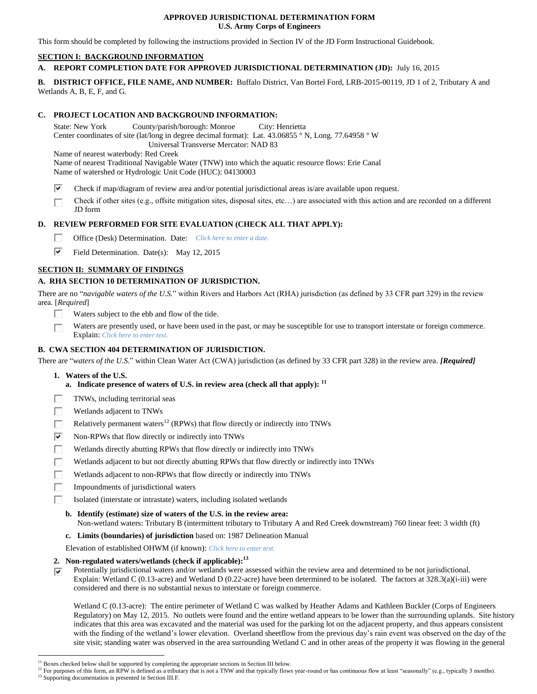## **APPROVED JURISDICTIONAL DETERMINATION FORM U.S. Army Corps of Engineers**

This form should be completed by following the instructions provided in Section IV of the JD Form Instructional Guidebook.

# **SECTION I: BACKGROUND INFORMATION**

# **A. REPORT COMPLETION DATE FOR APPROVED JURISDICTIONAL DETERMINATION (JD):** July 16, 2015

**B. DISTRICT OFFICE, FILE NAME, AND NUMBER:** Buffalo District, Van Bortel Ford, LRB-2015-00119, JD 1 of 2, Tributary A and Wetlands A, B, E, F, and G.

# **C. PROJECT LOCATION AND BACKGROUND INFORMATION:**

State: New York County/parish/borough: Monroe City: Henrietta Center coordinates of site (lat/long in degree decimal format): Lat. 43.06855 ° N, Long. 77.64958 ° W Universal Transverse Mercator: NAD 83 Name of nearest waterbody: Red Creek

Name of nearest Traditional Navigable Water (TNW) into which the aquatic resource flows: Erie Canal Name of watershed or Hydrologic Unit Code (HUC): 04130003

- ⊽ Check if map/diagram of review area and/or potential jurisdictional areas is/are available upon request.
- Check if other sites (e.g., offsite mitigation sites, disposal sites, etc…) are associated with this action and are recorded on a different П JD form

# **D. REVIEW PERFORMED FOR SITE EVALUATION (CHECK ALL THAT APPLY):**

- г. Office (Desk) Determination. Date: *Click here to enter a date.*
- ⊽ Field Determination. Date(s): May 12, 2015

# **SECTION II: SUMMARY OF FINDINGS**

# **A. RHA SECTION 10 DETERMINATION OF JURISDICTION.**

There are no "*navigable waters of the U.S.*" within Rivers and Harbors Act (RHA) jurisdiction (as defined by 33 CFR part 329) in the review area. [*Required*]

- П Waters subject to the ebb and flow of the tide.
- Waters are presently used, or have been used in the past, or may be susceptible for use to transport interstate or foreign commerce. П Explain: *Click here to enter text.*

# **B. CWA SECTION 404 DETERMINATION OF JURISDICTION.**

There are "*waters of the U.S.*" within Clean Water Act (CWA) jurisdiction (as defined by 33 CFR part 328) in the review area. *[Required]*

**1. Waters of the U.S.**

 $\overline{a}$ 

- **a. Indicate presence of waters of U.S. in review area (check all that apply): 11**
- TNWs, including territorial seas
- П Wetlands adjacent to TNWs
- Relatively permanent waters<sup>12</sup> (RPWs) that flow directly or indirectly into TNWs П
- ☑ Non-RPWs that flow directly or indirectly into TNWs
- Wetlands directly abutting RPWs that flow directly or indirectly into TNWs
- П Wetlands adjacent to but not directly abutting RPWs that flow directly or indirectly into TNWs
- Wetlands adjacent to non-RPWs that flow directly or indirectly into TNWs п
- Impoundments of jurisdictional waters
- Isolated (interstate or intrastate) waters, including isolated wetlands

## **b. Identify (estimate) size of waters of the U.S. in the review area:**

Non-wetland waters: Tributary B (intermittent tributary to Tributary A and Red Creek downstream) 760 linear feet: 3 width (ft)

- **c. Limits (boundaries) of jurisdiction** based on: 1987 Delineation Manual
- Elevation of established OHWM (if known): *Click here to enter text.*
- **2. Non-regulated waters/wetlands (check if applicable): 13**
- Potentially jurisdictional waters and/or wetlands were assessed within the review area and determined to be not jurisdictional. ⊽ Explain: Wetland C (0.13-acre) and Wetland D (0.22-acre) have been determined to be isolated. The factors at 328.3(a)(i-iii) were considered and there is no substantial nexus to interstate or foreign commerce.

Wetland C (0.13-acre): The entire perimeter of Wetland C was walked by Heather Adams and Kathleen Buckler (Corps of Engineers Regulatory) on May 12, 2015. No outlets were found and the entire wetland appears to be lower than the surrounding uplands. Site history indicates that this area was excavated and the material was used for the parking lot on the adjacent property, and thus appears consistent with the finding of the wetland's lower elevation. Overland sheetflow from the previous day's rain event was observed on the day of the site visit; standing water was observed in the area surrounding Wetland C and in other areas of the property it was flowing in the general

<sup>&</sup>lt;sup>11</sup> Boxes checked below shall be supported by completing the appropriate sections in Section III below.

<sup>&</sup>lt;sup>12</sup> For purposes of this form, an RPW is defined as a tributary that is not a TNW and that typically flows year-round or has continuous flow at least "seasonally" (e.g., typically 3 months). <sup>13</sup> Supporting documentation is presented in Section III.F.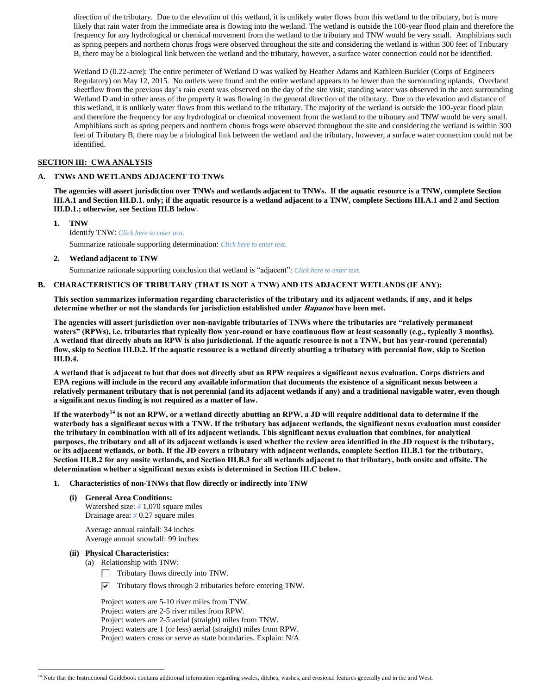direction of the tributary. Due to the elevation of this wetland, it is unlikely water flows from this wetland to the tributary, but is more likely that rain water from the immediate area is flowing into the wetland. The wetland is outside the 100-year flood plain and therefore the frequency for any hydrological or chemical movement from the wetland to the tributary and TNW would be very small. Amphibians such as spring peepers and northern chorus frogs were observed throughout the site and considering the wetland is within 300 feet of Tributary B, there may be a biological link between the wetland and the tributary, however, a surface water connection could not be identified.

Wetland D (0.22-acre): The entire perimeter of Wetland D was walked by Heather Adams and Kathleen Buckler (Corps of Engineers Regulatory) on May 12, 2015. No outlets were found and the entire wetland appears to be lower than the surrounding uplands. Overland sheetflow from the previous day's rain event was observed on the day of the site visit; standing water was observed in the area surrounding Wetland D and in other areas of the property it was flowing in the general direction of the tributary. Due to the elevation and distance of this wetland, it is unlikely water flows from this wetland to the tributary. The majority of the wetland is outside the 100-year flood plain and therefore the frequency for any hydrological or chemical movement from the wetland to the tributary and TNW would be very small. Amphibians such as spring peepers and northern chorus frogs were observed throughout the site and considering the wetland is within 300 feet of Tributary B, there may be a biological link between the wetland and the tributary, however, a surface water connection could not be identified.

## **SECTION III: CWA ANALYSIS**

## **A. TNWs AND WETLANDS ADJACENT TO TNWs**

**The agencies will assert jurisdiction over TNWs and wetlands adjacent to TNWs. If the aquatic resource is a TNW, complete Section III.A.1 and Section III.D.1. only; if the aquatic resource is a wetland adjacent to a TNW, complete Sections III.A.1 and 2 and Section III.D.1.; otherwise, see Section III.B below**.

**1. TNW**  Identify TNW: *Click here to enter text.* Summarize rationale supporting determination: *Click here to enter text.*

**2. Wetland adjacent to TNW**

Summarize rationale supporting conclusion that wetland is "adjacent": *Click here to enter text.*

### **B. CHARACTERISTICS OF TRIBUTARY (THAT IS NOT A TNW) AND ITS ADJACENT WETLANDS (IF ANY):**

**This section summarizes information regarding characteristics of the tributary and its adjacent wetlands, if any, and it helps determine whether or not the standards for jurisdiction established under Rapanos have been met.** 

**The agencies will assert jurisdiction over non-navigable tributaries of TNWs where the tributaries are "relatively permanent waters" (RPWs), i.e. tributaries that typically flow year-round or have continuous flow at least seasonally (e.g., typically 3 months). A wetland that directly abuts an RPW is also jurisdictional. If the aquatic resource is not a TNW, but has year-round (perennial) flow, skip to Section III.D.2. If the aquatic resource is a wetland directly abutting a tributary with perennial flow, skip to Section III.D.4.**

**A wetland that is adjacent to but that does not directly abut an RPW requires a significant nexus evaluation. Corps districts and EPA regions will include in the record any available information that documents the existence of a significant nexus between a relatively permanent tributary that is not perennial (and its adjacent wetlands if any) and a traditional navigable water, even though a significant nexus finding is not required as a matter of law.**

**If the waterbody<sup>14</sup> is not an RPW, or a wetland directly abutting an RPW, a JD will require additional data to determine if the waterbody has a significant nexus with a TNW. If the tributary has adjacent wetlands, the significant nexus evaluation must consider the tributary in combination with all of its adjacent wetlands. This significant nexus evaluation that combines, for analytical purposes, the tributary and all of its adjacent wetlands is used whether the review area identified in the JD request is the tributary, or its adjacent wetlands, or both. If the JD covers a tributary with adjacent wetlands, complete Section III.B.1 for the tributary, Section III.B.2 for any onsite wetlands, and Section III.B.3 for all wetlands adjacent to that tributary, both onsite and offsite. The determination whether a significant nexus exists is determined in Section III.C below.**

- **1. Characteristics of non-TNWs that flow directly or indirectly into TNW**
	- **(i) General Area Conditions:** Watershed size: *#* 1,070 square miles Drainage area: *#* 0.27 square miles

Average annual rainfall: 34 inches Average annual snowfall: 99 inches

# **(ii) Physical Characteristics:**

 $\overline{a}$ 

- (a) Relationship with TNW:
	- Tributary flows directly into TNW.
	- $\triangledown$  Tributary flows through 2 tributaries before entering TNW.

Project waters are 5-10 river miles from TNW. Project waters are 2-5 river miles from RPW. Project waters are 2-5 aerial (straight) miles from TNW. Project waters are 1 (or less) aerial (straight) miles from RPW. Project waters cross or serve as state boundaries. Explain: N/A

<sup>&</sup>lt;sup>14</sup> Note that the Instructional Guidebook contains additional information regarding swales, ditches, washes, and erosional features generally and in the arid West.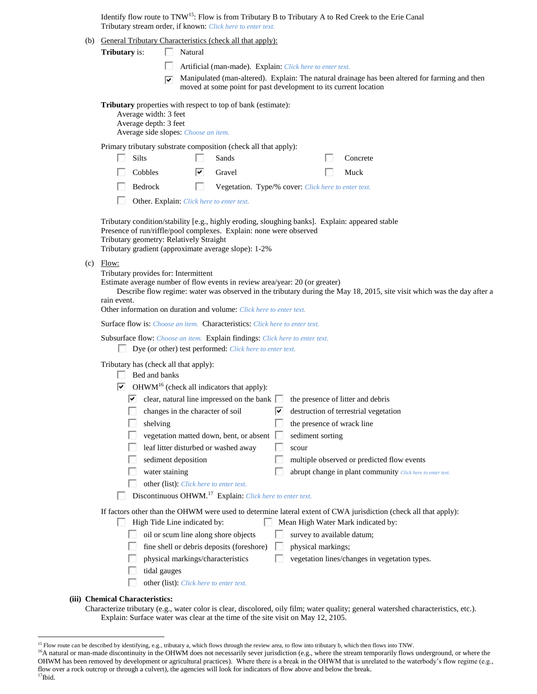Identify flow route to TNW<sup>15</sup>: Flow is from Tributary B to Tributary A to Red Creek to the Erie Canal Tributary stream order, if known: *Click here to enter text.*

(b) General Tributary Characteristics (check all that apply):

- П Artificial (man-made). Explain: *Click here to enter text.*
- Manipulated (man-altered). Explain: The natural drainage has been altered for farming and then moved at some point for past development to its current location

**Tributary** properties with respect to top of bank (estimate):

Average width: 3 feet Average depth: 3 feet Average side slopes: *Choose an item.*

Primary tributary substrate composition (check all that apply):

| $\Box$ Silts   | $\Box$ Sands                      | $\Box$ Concrete |
|----------------|-----------------------------------|-----------------|
| $\Box$ Cobbles | $\overline{\triangledown}$ Gravel | $\Box$ Muck     |
|                | $\sim$<br>_____                   |                 |

H. Bedrock Vegetation. Type/% cover: *Click here to enter text.* 

Other. Explain: *Click here to enter text.*

Tributary condition/stability [e.g., highly eroding, sloughing banks]. Explain: appeared stable Presence of run/riffle/pool complexes. Explain: none were observed Tributary geometry: Relatively Straight Tributary gradient (approximate average slope): 1-2%

(c) Flow:

Tributary provides for: Intermittent

Estimate average number of flow events in review area/year: 20 (or greater)

Describe flow regime: water was observed in the tributary during the May 18, 2015, site visit which was the day after a rain event.

Other information on duration and volume: *Click here to enter text.*

Surface flow is: *Choose an item.* Characteristics: *Click here to enter text.*

Subsurface flow: *Choose an item.* Explain findings: *Click here to enter text.*

Dye (or other) test performed: *Click here to enter text.*

Tributary has (check all that apply):

|  |  |  | Bed and banks |
|--|--|--|---------------|
|--|--|--|---------------|

| $OHWM16$ (check all indicators that apply):<br>▿                     |                                                                                                                  |
|----------------------------------------------------------------------|------------------------------------------------------------------------------------------------------------------|
| clear, natural line impressed on the bank $\Box$<br>է                | the presence of litter and debris                                                                                |
| changes in the character of soil                                     | destruction of terrestrial vegetation<br>∣V                                                                      |
| shelving                                                             | the presence of wrack line                                                                                       |
| vegetation matted down, bent, or absent                              | sediment sorting                                                                                                 |
| leaf litter disturbed or washed away                                 | scour                                                                                                            |
| sediment deposition                                                  | multiple observed or predicted flow events                                                                       |
| water staining                                                       | abrupt change in plant community Click here to enter text.                                                       |
| other (list). Click here to enter text.                              |                                                                                                                  |
| Discontinuous OHWM. <sup>17</sup> Explain: Click here to enter text. |                                                                                                                  |
|                                                                      | If factors other than the OHWM were used to determine lateral extent of CWA jurisdiction (check all that apply): |
| High Tide Line indicated by:                                         | Mean High Water Mark indicated by:                                                                               |
| oil or scum line along shore objects                                 | survey to available datum;                                                                                       |
| fine shell or debris deposits (foreshore)                            | physical markings;                                                                                               |
|                                                                      |                                                                                                                  |

- physical markings/characteristics  $\square$  vegetation lines/changes in vegetation types.
- tidal gauges
- other (list): *Click here to enter text.*

#### **(iii) Chemical Characteristics:**

Characterize tributary (e.g., water color is clear, discolored, oily film; water quality; general watershed characteristics, etc.). Explain: Surface water was clear at the time of the site visit on May 12, 2105.

 $17$ Ibid.

<sup>&</sup>lt;sup>15</sup> Flow route can be described by identifying, e.g., tributary a, which flows through the review area, to flow into tributary b, which then flows into TNW.

<sup>&</sup>lt;sup>16</sup>A natural or man-made discontinuity in the OHWM does not necessarily sever jurisdiction (e.g., where the stream temporarily flows underground, or where the OHWM has been removed by development or agricultural practices). Where there is a break in the OHWM that is unrelated to the waterbody's flow regime (e.g., flow over a rock outcrop or through a culvert), the agencies will look for indicators of flow above and below the break.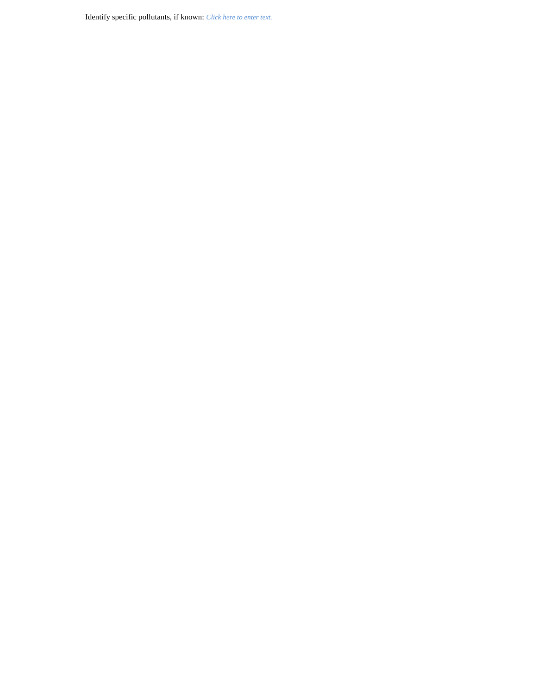Identify specific pollutants, if known: *Click here to enter text.*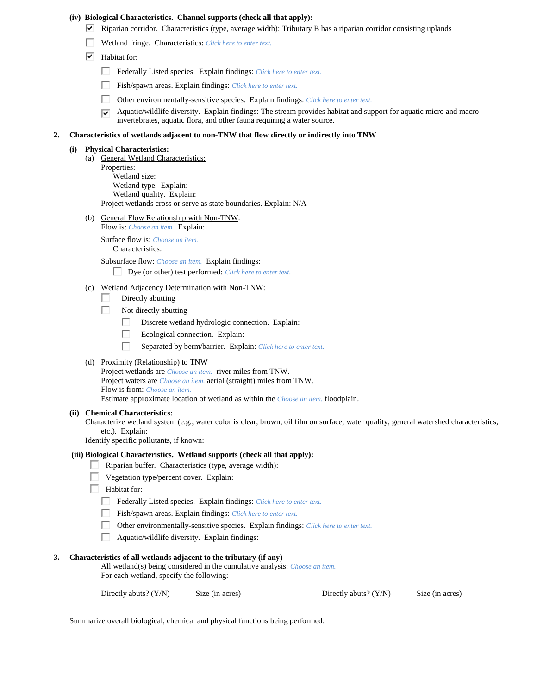#### **(iv) Biological Characteristics. Channel supports (check all that apply):**

- $\blacktriangledown$  Riparian corridor. Characteristics (type, average width): Tributary B has a riparian corridor consisting uplands
- Wetland fringe. Characteristics: *Click here to enter text.*
- $\boxed{\blacktriangledown}$  Habitat for:
	- Federally Listed species. Explain findings: *Click here to enter text.*
	- Fish/spawn areas. Explain findings: *Click here to enter text.*
	- П. Other environmentally-sensitive species. Explain findings: *Click here to enter text.*
	- Aquatic/wildlife diversity. Explain findings: The stream provides habitat and support for aquatic micro and macro  $\overline{\triangledown}$ invertebrates, aquatic flora, and other fauna requiring a water source.

## **2. Characteristics of wetlands adjacent to non-TNW that flow directly or indirectly into TNW**

#### **(i) Physical Characteristics:**

- (a) General Wetland Characteristics: Properties: Wetland size: Wetland type. Explain: Wetland quality. Explain: Project wetlands cross or serve as state boundaries. Explain: N/A
- (b) General Flow Relationship with Non-TNW: Flow is: *Choose an item.* Explain:

Surface flow is: *Choose an item.* Characteristics:

Subsurface flow: *Choose an item.* Explain findings:

Dye (or other) test performed: *Click here to enter text.*

- (c) Wetland Adjacency Determination with Non-TNW:
	- Directly abutting
	- п Not directly abutting
		- П. Discrete wetland hydrologic connection. Explain:
		- п Ecological connection. Explain:
		- П Separated by berm/barrier. Explain: *Click here to enter text.*

#### (d) Proximity (Relationship) to TNW

Project wetlands are *Choose an item.* river miles from TNW. Project waters are *Choose an item.* aerial (straight) miles from TNW. Flow is from: *Choose an item.* Estimate approximate location of wetland as within the *Choose an item.* floodplain.

#### **(ii) Chemical Characteristics:**

Characterize wetland system (e.g., water color is clear, brown, oil film on surface; water quality; general watershed characteristics; etc.). Explain:

Identify specific pollutants, if known:

#### **(iii) Biological Characteristics. Wetland supports (check all that apply):**

- Riparian buffer. Characteristics (type, average width):
- **Vegetation type/percent cover.** Explain:
- **Habitat for:** 
	- Federally Listed species. Explain findings: *Click here to enter text.*
	- Fish/spawn areas. Explain findings: *Click here to enter text.*
	- П. Other environmentally-sensitive species. Explain findings: *Click here to enter text.*
	- П Aquatic/wildlife diversity. Explain findings:

#### **3. Characteristics of all wetlands adjacent to the tributary (if any)**

All wetland(s) being considered in the cumulative analysis: *Choose an item.* For each wetland, specify the following:

Directly abuts? (Y/N) Size (in acres) Directly abuts? (Y/N) Size (in acres)

Summarize overall biological, chemical and physical functions being performed: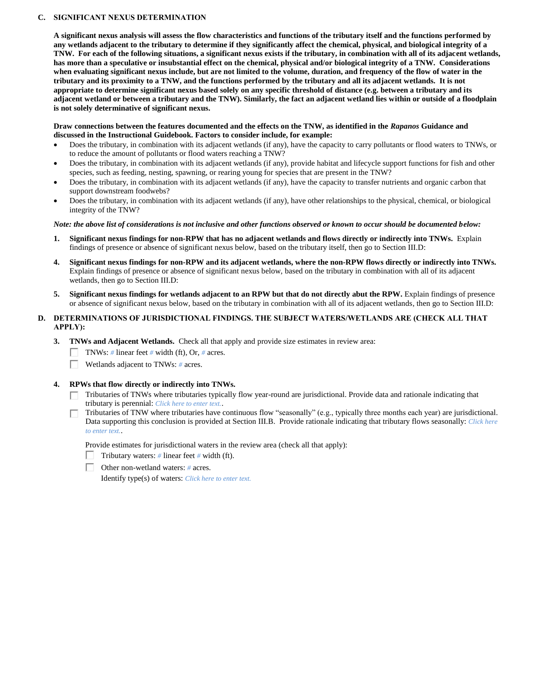## **C. SIGNIFICANT NEXUS DETERMINATION**

**A significant nexus analysis will assess the flow characteristics and functions of the tributary itself and the functions performed by any wetlands adjacent to the tributary to determine if they significantly affect the chemical, physical, and biological integrity of a TNW. For each of the following situations, a significant nexus exists if the tributary, in combination with all of its adjacent wetlands, has more than a speculative or insubstantial effect on the chemical, physical and/or biological integrity of a TNW. Considerations when evaluating significant nexus include, but are not limited to the volume, duration, and frequency of the flow of water in the tributary and its proximity to a TNW, and the functions performed by the tributary and all its adjacent wetlands. It is not appropriate to determine significant nexus based solely on any specific threshold of distance (e.g. between a tributary and its adjacent wetland or between a tributary and the TNW). Similarly, the fact an adjacent wetland lies within or outside of a floodplain is not solely determinative of significant nexus.** 

## **Draw connections between the features documented and the effects on the TNW, as identified in the** *Rapanos* **Guidance and discussed in the Instructional Guidebook. Factors to consider include, for example:**

- Does the tributary, in combination with its adjacent wetlands (if any), have the capacity to carry pollutants or flood waters to TNWs, or to reduce the amount of pollutants or flood waters reaching a TNW?
- Does the tributary, in combination with its adjacent wetlands (if any), provide habitat and lifecycle support functions for fish and other species, such as feeding, nesting, spawning, or rearing young for species that are present in the TNW?
- Does the tributary, in combination with its adjacent wetlands (if any), have the capacity to transfer nutrients and organic carbon that support downstream foodwebs?
- Does the tributary, in combination with its adjacent wetlands (if any), have other relationships to the physical, chemical, or biological integrity of the TNW?

## *Note: the above list of considerations is not inclusive and other functions observed or known to occur should be documented below:*

- **1. Significant nexus findings for non-RPW that has no adjacent wetlands and flows directly or indirectly into TNWs.** Explain findings of presence or absence of significant nexus below, based on the tributary itself, then go to Section III.D:
- **4. Significant nexus findings for non-RPW and its adjacent wetlands, where the non-RPW flows directly or indirectly into TNWs.**  Explain findings of presence or absence of significant nexus below, based on the tributary in combination with all of its adjacent wetlands, then go to Section III.D:
- **5. Significant nexus findings for wetlands adjacent to an RPW but that do not directly abut the RPW.** Explain findings of presence or absence of significant nexus below, based on the tributary in combination with all of its adjacent wetlands, then go to Section III.D:

## **D. DETERMINATIONS OF JURISDICTIONAL FINDINGS. THE SUBJECT WATERS/WETLANDS ARE (CHECK ALL THAT APPLY):**

- **3. TNWs and Adjacent Wetlands.** Check all that apply and provide size estimates in review area:
	- П. TNWs: *#* linear feet *#* width (ft), Or, *#* acres.
	- п. Wetlands adjacent to TNWs: *#* acres.

## **4. RPWs that flow directly or indirectly into TNWs.**

- $\Box$  Tributaries of TNWs where tributaries typically flow year-round are jurisdictional. Provide data and rationale indicating that tributary is perennial: *Click here to enter text.*.
- Tributaries of TNW where tributaries have continuous flow "seasonally" (e.g., typically three months each year) are jurisdictional. Data supporting this conclusion is provided at Section III.B. Provide rationale indicating that tributary flows seasonally: *Click here to enter text.*.

Provide estimates for jurisdictional waters in the review area (check all that apply):

- Tributary waters: *#* linear feet *#* width (ft).
- Other non-wetland waters: *#* acres.

Identify type(s) of waters: *Click here to enter text.*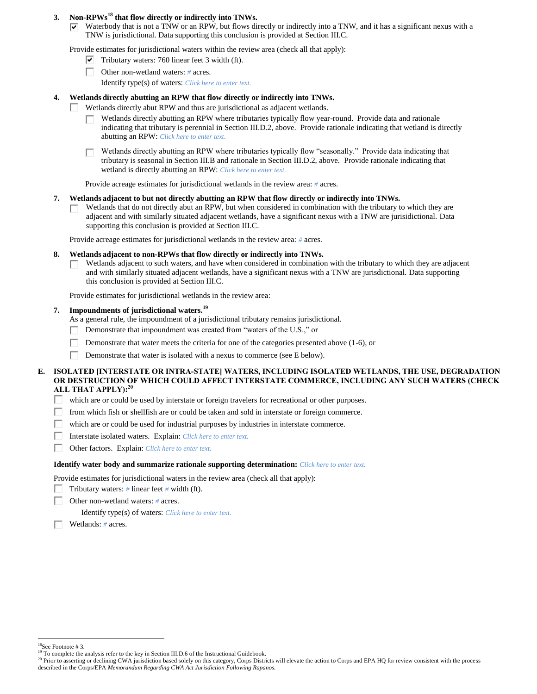## **3. Non-RPWs<sup>18</sup> that flow directly or indirectly into TNWs.**

 $\overline{\triangledown}$  Waterbody that is not a TNW or an RPW, but flows directly or indirectly into a TNW, and it has a significant nexus with a TNW is jurisdictional. Data supporting this conclusion is provided at Section III.C.

Provide estimates for jurisdictional waters within the review area (check all that apply):

- $\triangledown$  Tributary waters: 760 linear feet 3 width (ft).
- П. Other non-wetland waters: *#* acres. Identify type(s) of waters: *Click here to enter text.*

## **4. Wetlands directly abutting an RPW that flow directly or indirectly into TNWs.**

- Wetlands directly abut RPW and thus are jurisdictional as adjacent wetlands.
	- Wetlands directly abutting an RPW where tributaries typically flow year-round. Provide data and rationale П. indicating that tributary is perennial in Section III.D.2, above. Provide rationale indicating that wetland is directly abutting an RPW: *Click here to enter text.*
	- Wetlands directly abutting an RPW where tributaries typically flow "seasonally." Provide data indicating that tributary is seasonal in Section III.B and rationale in Section III.D.2, above. Provide rationale indicating that wetland is directly abutting an RPW: *Click here to enter text.*

Provide acreage estimates for jurisdictional wetlands in the review area: *#* acres.

## **7. Wetlands adjacent to but not directly abutting an RPW that flow directly or indirectly into TNWs.**

Wetlands that do not directly abut an RPW, but when considered in combination with the tributary to which they are  $\mathbf{L}$ adjacent and with similarly situated adjacent wetlands, have a significant nexus with a TNW are jurisidictional. Data supporting this conclusion is provided at Section III.C.

Provide acreage estimates for jurisdictional wetlands in the review area: *#* acres.

## **8. Wetlands adjacent to non-RPWs that flow directly or indirectly into TNWs.**

Wetlands adjacent to such waters, and have when considered in combination with the tributary to which they are adjacent  $\mathbf{L}$ and with similarly situated adjacent wetlands, have a significant nexus with a TNW are jurisdictional. Data supporting this conclusion is provided at Section III.C.

Provide estimates for jurisdictional wetlands in the review area:

## **7. Impoundments of jurisdictional waters. 19**

As a general rule, the impoundment of a jurisdictional tributary remains jurisdictional.

- Demonstrate that impoundment was created from "waters of the U.S.," or
- Demonstrate that water meets the criteria for one of the categories presented above (1-6), or Г
- П Demonstrate that water is isolated with a nexus to commerce (see E below).

## **E. ISOLATED [INTERSTATE OR INTRA-STATE] WATERS, INCLUDING ISOLATED WETLANDS, THE USE, DEGRADATION OR DESTRUCTION OF WHICH COULD AFFECT INTERSTATE COMMERCE, INCLUDING ANY SUCH WATERS (CHECK ALL THAT APPLY):<sup>20</sup>**

- П. which are or could be used by interstate or foreign travelers for recreational or other purposes.
- Г from which fish or shellfish are or could be taken and sold in interstate or foreign commerce.
- Г which are or could be used for industrial purposes by industries in interstate commerce.
- П Interstate isolated waters.Explain: *Click here to enter text.*
- П Other factors.Explain: *Click here to enter text.*

#### **Identify water body and summarize rationale supporting determination:** *Click here to enter text.*

Provide estimates for jurisdictional waters in the review area (check all that apply):

Tributary waters: *#* linear feet *#* width (ft). Е

П. Other non-wetland waters: *#* acres.

Identify type(s) of waters: *Click here to enter text.*

Wetlands: *#* acres.

<sup>18</sup>See Footnote # 3.

<sup>&</sup>lt;sup>19</sup> To complete the analysis refer to the key in Section III.D.6 of the Instructional Guidebook.

<sup>&</sup>lt;sup>20</sup> Prior to asserting or declining CWA jurisdiction based solely on this category, Corps Districts will elevate the action to Corps and EPA HQ for review consistent with the process described in the Corps/EPA *Memorandum Regarding CWA Act Jurisdiction Following Rapanos.*